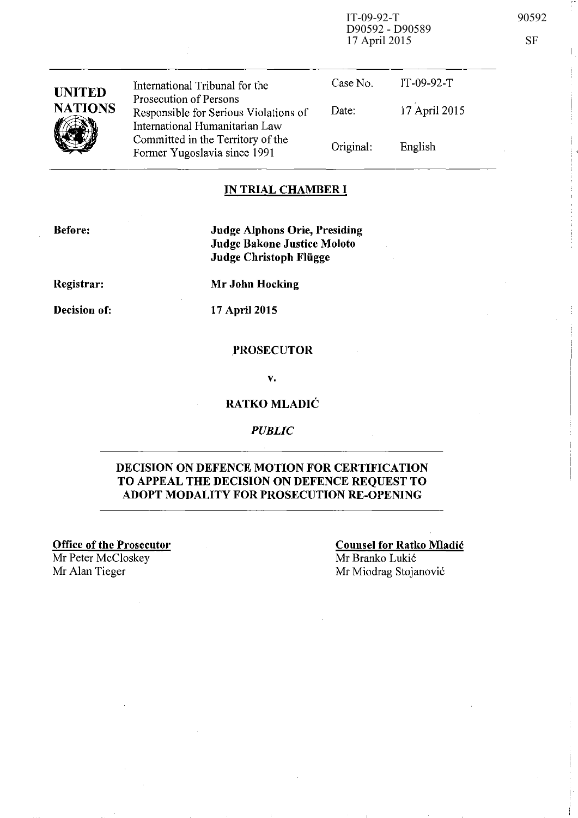IT-09-92-T 90592 D90592 - D90589 17 April 2015 SF

| <b>UNITED</b><br><b>NATIONS</b> | International Tribunal for the<br>Prosecution of Persons<br>Responsible for Serious Violations of<br>International Humanitarian Law | Case No.<br>Date: | $IT-09-92-T$<br>17 April 2015 |
|---------------------------------|-------------------------------------------------------------------------------------------------------------------------------------|-------------------|-------------------------------|
|                                 | Committed in the Territory of the<br>Former Yugoslavia since 1991                                                                   | Original:         | English                       |

#### **IN TRIAL CHAMBER I**

**Before:** 

**Judge Alphons Orie, Presiding Judge Bakone Justice Moloto Judge Christoph Fliigge** 

**Registrar:** 

**Decision of:** 

**17 April 2015** 

**Mr John Hocking** 

#### **.PROSECUTOR**

v.

### **RATKO MLADIC**

*PUBLIC* 

#### **DECISION ON DEFENCE MOTION FOR CERTIFICATION TO APPEAL THE DECISION ON DEFENCE REQUEST TO ADOPT MODALITY FOR PROSECUTION RE-OPENING**

**Office of the Prosecutor**  Mr Peter McCloskey Mr Alan Tieger Mr Miodrag Stojanović

**Counsel for Ratko Mladic**  Mr Branko Lukic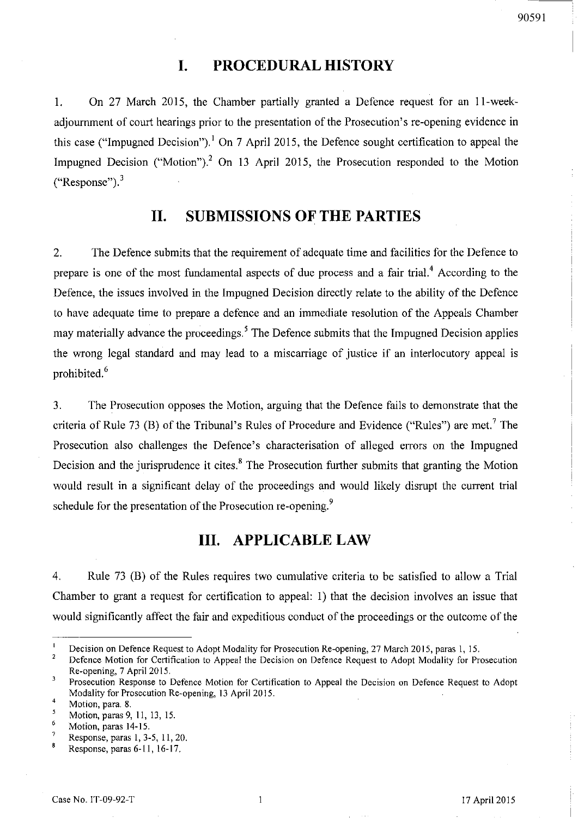# 90591

## **I. PROCEDURAL HISTORY**

1. On 27 March 2015, the Chamber partially granted a Defence request for an ll-weekadjournment of court hearings prior to the presentation of the Prosecution's re-opening evidence in this case ("Impugned Decision").<sup>1</sup> On 7 April 2015, the Defence sought certification to appeal the Impugned Decision ("Motion").<sup>2</sup> On 13 April 2015, the Prosecution responded to the Motion ("Response"). 3

### **II. SUBMISSIONS OF THE PARTIES**

2. The Defence submits that the requirement of adequate time and facilities for the Defence to prepare is one of the most fundamental aspects of due process and a fair trial.<sup>4</sup> According to the Defence, the issues involved in the Impugned Decision directly relate to the ability of the Defence to have adequate time to prepare a defence and an immediate resolution of the Appeals Chamber may materially advance the proceedings.<sup>5</sup> The Defence submits that the Impugned Decision applies the wrong legal standard and may lead to a miscarriage of justice if an interlocutory appeal is prohibited.<sup>6</sup>

3. The Prosecution opposes the Motion, arguing that the Defence fails to demonstrate that the criteria of Rule 73 (B) of the Tribunal's Rules of Procedure and Evidence ("Rules") are met.<sup>7</sup> The Prosecution also challenges the Defence's characterisation of alleged errors on the Impugned Decision and the jurisprudence it cites.<sup>8</sup> The Prosecution further submits that granting the Motion would result in a significant delay of the proceedings and would likely disrupt the current trial schedule for the presentation of the Prosecution re-opening.<sup>9</sup>

## **III. APPLICABLE LAW**

4. Rule 73 (B) of the Rules requires two cumulative criteria to be satisfied to allow a Trial Chamber to grant a request for certification to appeal: I) that the decision involves an issue that would significantly affect the fair and expeditious conduct of the proceedings or the outcome of the

 $\mathbf{I}$ Decision on Defence Request to Adopt Modality for Prosecution Re-opening, 27 March 2015, paras I, IS.

<sup>2</sup>  Defence Motion for Certification to Appeal the Decision on Defence Request to Adopt Modality for Prosecution Re-opening, 7 April 2015.

 $\overline{\mathbf{3}}$ Prosecution Response to Defence Motion for Certification to Appeal the Decision on Defence Request to Adopt Modality for Prosecution Re-opening, 13 April 2015. 4

Motion, para. 8.

<sup>5</sup> Motion, paras 9, II, l3, IS.

<sup>6</sup>  Motion, paras 14-15.

**Response, paras 1,3-5, 11,20.** 

Response, paras 6-11, 16-17.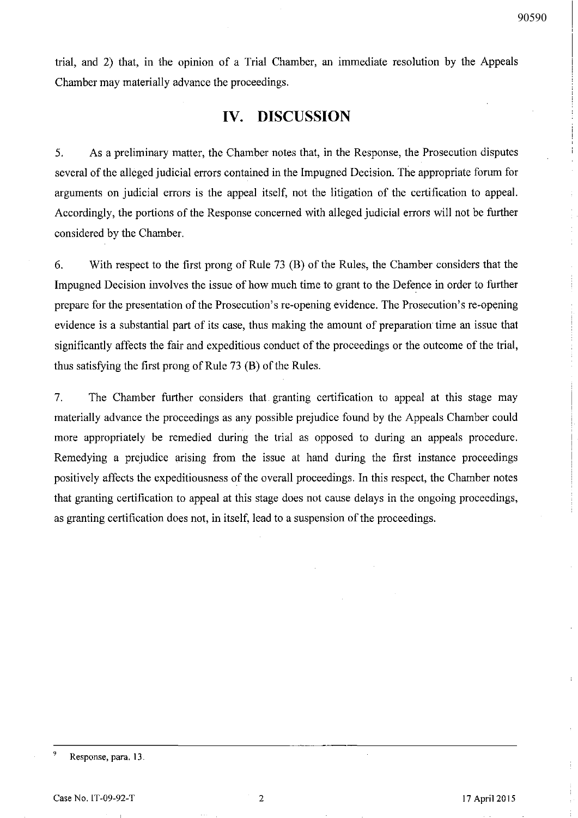trial, and 2) that, in the opinion of a Trial Chamber, an immediate resolution by the Appeals Chamber may materially advance the proceedings.

## **IV. DISCUSSION**

5. As a preliminary matter, the Chamber notes that, in the Response, the Prosecution disputes several of the alleged judicial errors contained in the Impugned Decision. The appropriate forum for arguments on judicial errors is the appeal itself, not the litigation of the certification to appeal. Accordingly, the portions of the Response concerned with alleged judicial errors will not be further considered by the Chamber.

6. With respect to the first prong of Rule 73 (B) of the Rules, the Chamber considers that the Impugned Decision involves the issue of how much time to grant to the Defence in order to further prepare for the presentation of the Prosecution's re-opening evidence. The Prosecution's re-opening evidence is a substantial part of its case, thus making the amount of preparation time an issue that significantly affects the fair and expeditious conduct of the proceedings or the outcome of the trial, thus satisfying the first prong of Rule 73 (B) of the Rules.

7. The Chamber further considers that granting certification to appeal at this stage may materially advance the proceedings as any possible prejudice found by the Appeals Chamber could more appropriately be remedied during the trial as opposed to during an appeals procedure. Remedying a prejudice arising from the issue at hand during the first instance proceedings positively affects the expeditiousness of the overall proceedings. In this respect, the Chamber notes that granting certification to appeal at this stage does not cause delays in the ongoing proceedings, as granting certification does not, in itself, lead to a suspension of the proceedings.

<sup>&</sup>lt;sup>9</sup> Response, para. 13.